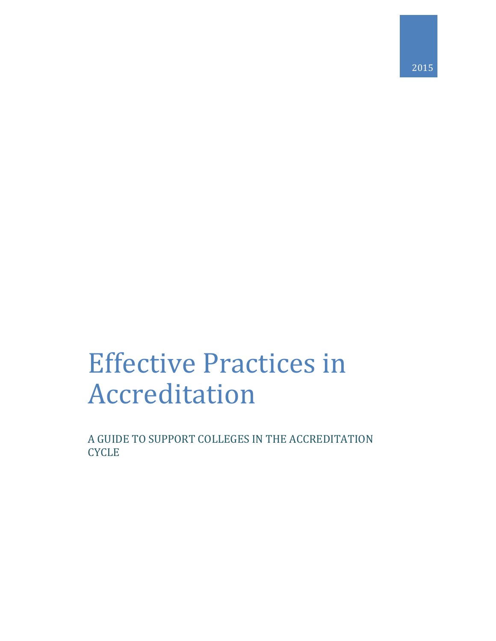# Effective Practices in Accreditation

A GUIDE TO SUPPORT COLLEGES IN THE ACCREDITATION **CYCLE**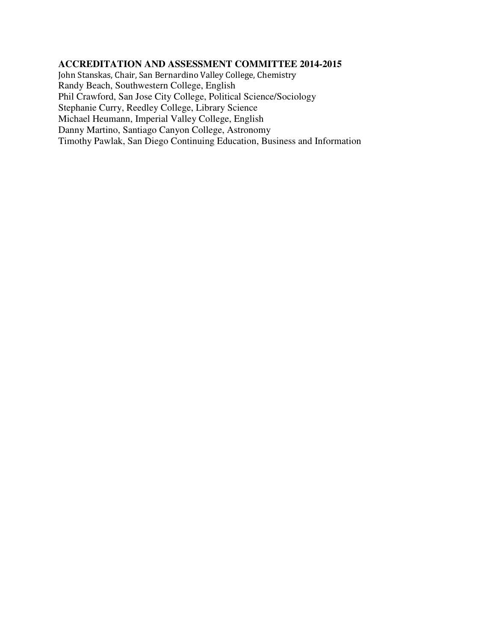#### **ACCREDITATION AND ASSESSMENT COMMITTEE 2014-2015**

John Stanskas, Chair, San Bernardino Valley College, Chemistry Randy Beach, Southwestern College, English Phil Crawford, San Jose City College, Political Science/Sociology Stephanie Curry, Reedley College, Library Science Michael Heumann, Imperial Valley College, English Danny Martino, Santiago Canyon College, Astronomy Timothy Pawlak, San Diego Continuing Education, Business and Information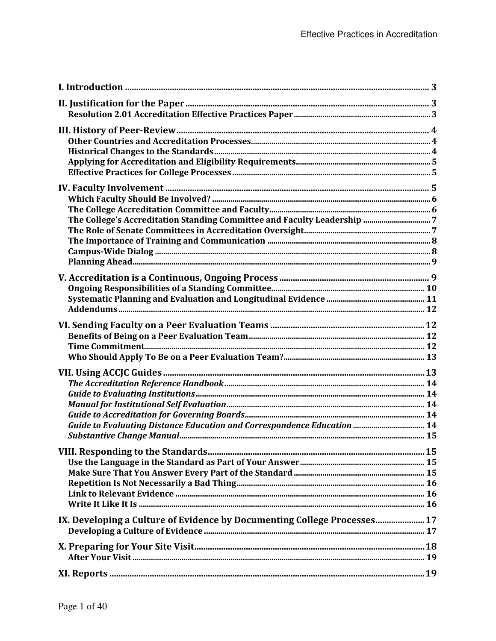| Guide to Evaluating Distance Education and Correspondence Education  14  |  |
|--------------------------------------------------------------------------|--|
|                                                                          |  |
| IX. Developing a Culture of Evidence by Documenting College Processes 17 |  |
|                                                                          |  |
|                                                                          |  |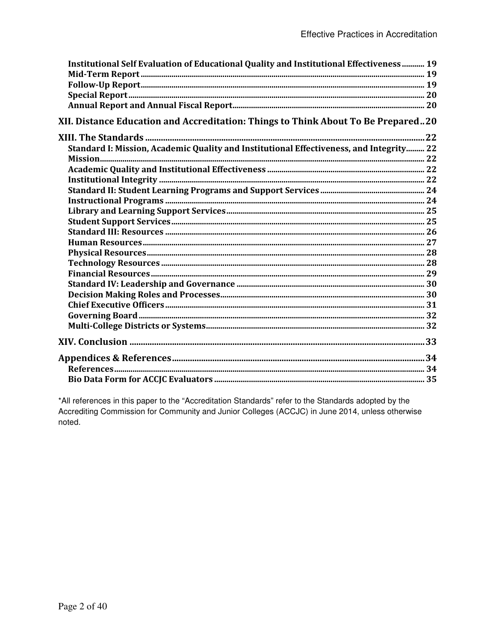| Institutional Self Evaluation of Educational Quality and Institutional Effectiveness 19 |  |
|-----------------------------------------------------------------------------------------|--|
|                                                                                         |  |
|                                                                                         |  |
|                                                                                         |  |
|                                                                                         |  |
| XII. Distance Education and Accreditation: Things to Think About To Be Prepared20       |  |
|                                                                                         |  |
| Standard I: Mission, Academic Quality and Institutional Effectiveness, and Integrity 22 |  |
|                                                                                         |  |
|                                                                                         |  |
|                                                                                         |  |
|                                                                                         |  |
|                                                                                         |  |
|                                                                                         |  |
|                                                                                         |  |
|                                                                                         |  |
|                                                                                         |  |
|                                                                                         |  |
|                                                                                         |  |
|                                                                                         |  |
|                                                                                         |  |
|                                                                                         |  |
|                                                                                         |  |
|                                                                                         |  |
|                                                                                         |  |
|                                                                                         |  |
|                                                                                         |  |
|                                                                                         |  |
|                                                                                         |  |

\*All references in this paper to the "Accreditation Standards" refer to the Standards adopted by the Accrediting Commission for Community and Junior Colleges (ACCJC) in June 2014, unless otherwise noted.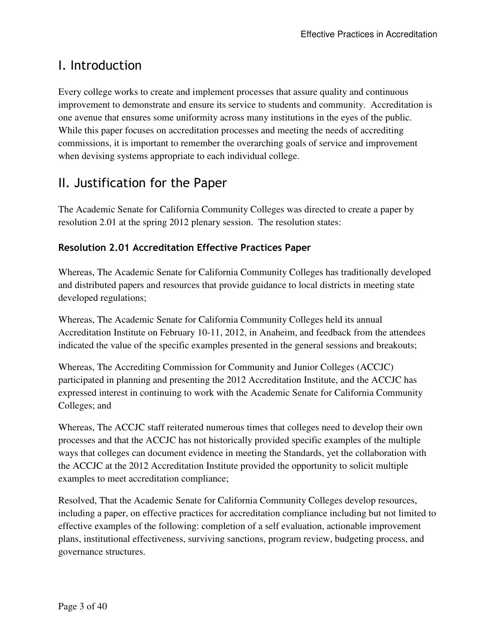# I. Introduction

Every college works to create and implement processes that assure quality and continuous improvement to demonstrate and ensure its service to students and community. Accreditation is one avenue that ensures some uniformity across many institutions in the eyes of the public. While this paper focuses on accreditation processes and meeting the needs of accrediting commissions, it is important to remember the overarching goals of service and improvement when devising systems appropriate to each individual college.

# II. Justification for the Paper

The Academic Senate for California Community Colleges was directed to create a paper by resolution 2.01 at the spring 2012 plenary session. The resolution states:

### **Resolution 2.01 Accreditation Effective Practices Paper**

Whereas, The Academic Senate for California Community Colleges has traditionally developed and distributed papers and resources that provide guidance to local districts in meeting state developed regulations;

Whereas, The Academic Senate for California Community Colleges held its annual Accreditation Institute on February 10-11, 2012, in Anaheim, and feedback from the attendees indicated the value of the specific examples presented in the general sessions and breakouts;

Whereas, The Accrediting Commission for Community and Junior Colleges (ACCJC) participated in planning and presenting the 2012 Accreditation Institute, and the ACCJC has expressed interest in continuing to work with the Academic Senate for California Community Colleges; and

Whereas, The ACCJC staff reiterated numerous times that colleges need to develop their own processes and that the ACCJC has not historically provided specific examples of the multiple ways that colleges can document evidence in meeting the Standards, yet the collaboration with the ACCJC at the 2012 Accreditation Institute provided the opportunity to solicit multiple examples to meet accreditation compliance;

Resolved, That the Academic Senate for California Community Colleges develop resources, including a paper, on effective practices for accreditation compliance including but not limited to effective examples of the following: completion of a self evaluation, actionable improvement plans, institutional effectiveness, surviving sanctions, program review, budgeting process, and governance structures.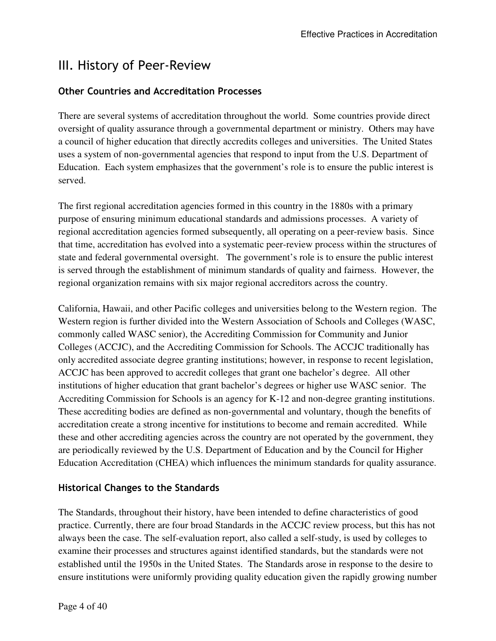## III. History of Peer-Review

### **Other Countries and Accreditation Processes**

There are several systems of accreditation throughout the world. Some countries provide direct oversight of quality assurance through a governmental department or ministry. Others may have a council of higher education that directly accredits colleges and universities. The United States uses a system of non-governmental agencies that respond to input from the U.S. Department of Education. Each system emphasizes that the government's role is to ensure the public interest is served.

The first regional accreditation agencies formed in this country in the 1880s with a primary purpose of ensuring minimum educational standards and admissions processes. A variety of regional accreditation agencies formed subsequently, all operating on a peer-review basis. Since that time, accreditation has evolved into a systematic peer-review process within the structures of state and federal governmental oversight. The government's role is to ensure the public interest is served through the establishment of minimum standards of quality and fairness. However, the regional organization remains with six major regional accreditors across the country.

California, Hawaii, and other Pacific colleges and universities belong to the Western region. The Western region is further divided into the Western Association of Schools and Colleges (WASC, commonly called WASC senior), the Accrediting Commission for Community and Junior Colleges (ACCJC), and the Accrediting Commission for Schools. The ACCJC traditionally has only accredited associate degree granting institutions; however, in response to recent legislation, ACCJC has been approved to accredit colleges that grant one bachelor's degree. All other institutions of higher education that grant bachelor's degrees or higher use WASC senior. The Accrediting Commission for Schools is an agency for K-12 and non-degree granting institutions. These accrediting bodies are defined as non-governmental and voluntary, though the benefits of accreditation create a strong incentive for institutions to become and remain accredited. While these and other accrediting agencies across the country are not operated by the government, they are periodically reviewed by the U.S. Department of Education and by the Council for Higher Education Accreditation (CHEA) which influences the minimum standards for quality assurance.

### **Historical Changes to the Standards**

The Standards, throughout their history, have been intended to define characteristics of good practice. Currently, there are four broad Standards in the ACCJC review process, but this has not always been the case. The self-evaluation report, also called a self-study, is used by colleges to examine their processes and structures against identified standards, but the standards were not established until the 1950s in the United States. The Standards arose in response to the desire to ensure institutions were uniformly providing quality education given the rapidly growing number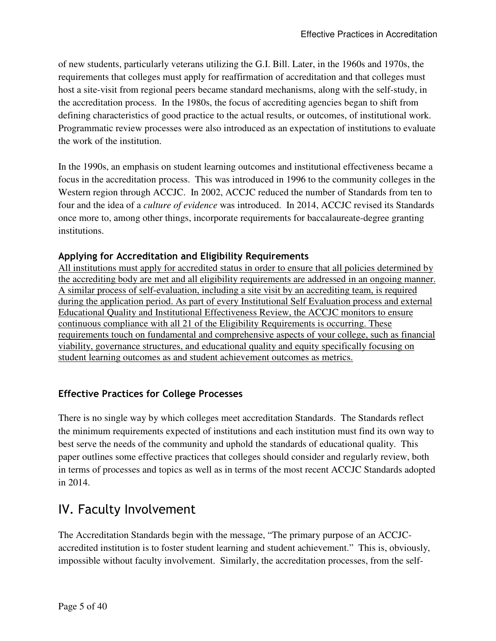of new students, particularly veterans utilizing the G.I. Bill. Later, in the 1960s and 1970s, the requirements that colleges must apply for reaffirmation of accreditation and that colleges must host a site-visit from regional peers became standard mechanisms, along with the self-study, in the accreditation process. In the 1980s, the focus of accrediting agencies began to shift from defining characteristics of good practice to the actual results, or outcomes, of institutional work. Programmatic review processes were also introduced as an expectation of institutions to evaluate the work of the institution.

In the 1990s, an emphasis on student learning outcomes and institutional effectiveness became a focus in the accreditation process. This was introduced in 1996 to the community colleges in the Western region through ACCJC. In 2002, ACCJC reduced the number of Standards from ten to four and the idea of a *culture of evidence* was introduced. In 2014, ACCJC revised its Standards once more to, among other things, incorporate requirements for baccalaureate-degree granting institutions.

### **Applying for Accreditation and Eligibility Requirements**

All institutions must apply for accredited status in order to ensure that all policies determined by the accrediting body are met and all eligibility requirements are addressed in an ongoing manner. A similar process of self-evaluation, including a site visit by an accrediting team, is required during the application period. As part of every Institutional Self Evaluation process and external Educational Quality and Institutional Effectiveness Review, the ACCJC monitors to ensure continuous compliance with all 21 of the Eligibility Requirements is occurring. These requirements touch on fundamental and comprehensive aspects of your college, such as financial viability, governance structures, and educational quality and equity specifically focusing on student learning outcomes as and student achievement outcomes as metrics.

### **Effective Practices for College Processes**

There is no single way by which colleges meet accreditation Standards. The Standards reflect the minimum requirements expected of institutions and each institution must find its own way to best serve the needs of the community and uphold the standards of educational quality. This paper outlines some effective practices that colleges should consider and regularly review, both in terms of processes and topics as well as in terms of the most recent ACCJC Standards adopted in 2014.

# IV. Faculty Involvement

The Accreditation Standards begin with the message, "The primary purpose of an ACCJCaccredited institution is to foster student learning and student achievement." This is, obviously, impossible without faculty involvement. Similarly, the accreditation processes, from the self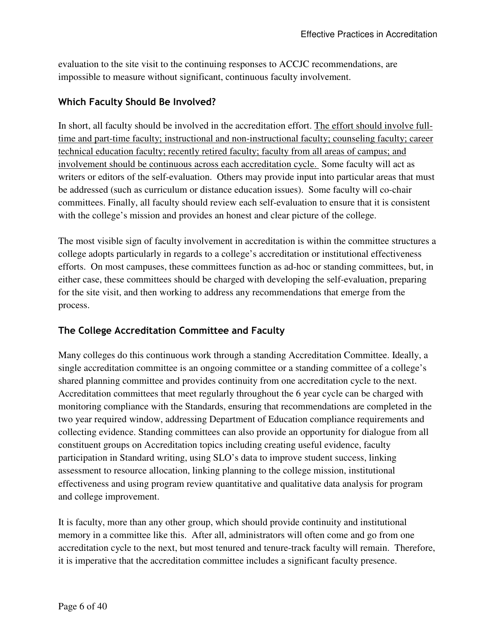evaluation to the site visit to the continuing responses to ACCJC recommendations, are impossible to measure without significant, continuous faculty involvement.

### **Which Faculty Should Be Involved?**

In short, all faculty should be involved in the accreditation effort. The effort should involve fulltime and part-time faculty; instructional and non-instructional faculty; counseling faculty; career technical education faculty; recently retired faculty; faculty from all areas of campus; and involvement should be continuous across each accreditation cycle. Some faculty will act as writers or editors of the self-evaluation. Others may provide input into particular areas that must be addressed (such as curriculum or distance education issues). Some faculty will co-chair committees. Finally, all faculty should review each self-evaluation to ensure that it is consistent with the college's mission and provides an honest and clear picture of the college.

The most visible sign of faculty involvement in accreditation is within the committee structures a college adopts particularly in regards to a college's accreditation or institutional effectiveness efforts. On most campuses, these committees function as ad-hoc or standing committees, but, in either case, these committees should be charged with developing the self-evaluation, preparing for the site visit, and then working to address any recommendations that emerge from the process.

### **The College Accreditation Committee and Faculty**

Many colleges do this continuous work through a standing Accreditation Committee. Ideally, a single accreditation committee is an ongoing committee or a standing committee of a college's shared planning committee and provides continuity from one accreditation cycle to the next. Accreditation committees that meet regularly throughout the 6 year cycle can be charged with monitoring compliance with the Standards, ensuring that recommendations are completed in the two year required window, addressing Department of Education compliance requirements and collecting evidence. Standing committees can also provide an opportunity for dialogue from all constituent groups on Accreditation topics including creating useful evidence, faculty participation in Standard writing, using SLO's data to improve student success, linking assessment to resource allocation, linking planning to the college mission, institutional effectiveness and using program review quantitative and qualitative data analysis for program and college improvement.

It is faculty, more than any other group, which should provide continuity and institutional memory in a committee like this. After all, administrators will often come and go from one accreditation cycle to the next, but most tenured and tenure-track faculty will remain. Therefore, it is imperative that the accreditation committee includes a significant faculty presence.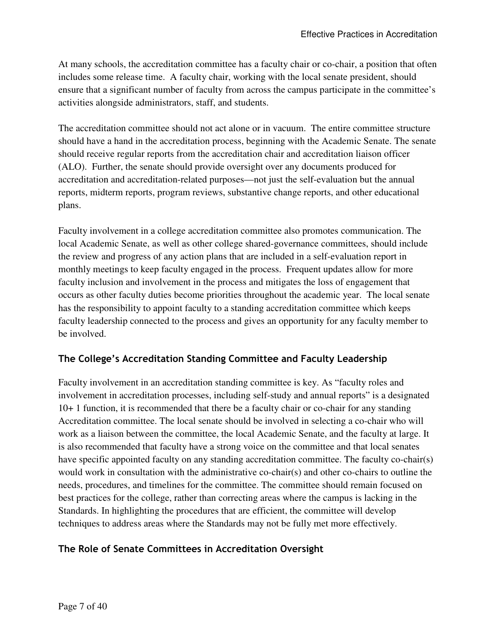At many schools, the accreditation committee has a faculty chair or co-chair, a position that often includes some release time. A faculty chair, working with the local senate president, should ensure that a significant number of faculty from across the campus participate in the committee's activities alongside administrators, staff, and students.

The accreditation committee should not act alone or in vacuum. The entire committee structure should have a hand in the accreditation process, beginning with the Academic Senate. The senate should receive regular reports from the accreditation chair and accreditation liaison officer (ALO). Further, the senate should provide oversight over any documents produced for accreditation and accreditation-related purposes—not just the self-evaluation but the annual reports, midterm reports, program reviews, substantive change reports, and other educational plans.

Faculty involvement in a college accreditation committee also promotes communication. The local Academic Senate, as well as other college shared-governance committees, should include the review and progress of any action plans that are included in a self-evaluation report in monthly meetings to keep faculty engaged in the process. Frequent updates allow for more faculty inclusion and involvement in the process and mitigates the loss of engagement that occurs as other faculty duties become priorities throughout the academic year. The local senate has the responsibility to appoint faculty to a standing accreditation committee which keeps faculty leadership connected to the process and gives an opportunity for any faculty member to be involved.

### **The College's Accreditation Standing Committee and Faculty Leadership**

Faculty involvement in an accreditation standing committee is key. As "faculty roles and involvement in accreditation processes, including self-study and annual reports" is a designated 10+ 1 function, it is recommended that there be a faculty chair or co-chair for any standing Accreditation committee. The local senate should be involved in selecting a co-chair who will work as a liaison between the committee, the local Academic Senate, and the faculty at large. It is also recommended that faculty have a strong voice on the committee and that local senates have specific appointed faculty on any standing accreditation committee. The faculty co-chair(s) would work in consultation with the administrative co-chair(s) and other co-chairs to outline the needs, procedures, and timelines for the committee. The committee should remain focused on best practices for the college, rather than correcting areas where the campus is lacking in the Standards. In highlighting the procedures that are efficient, the committee will develop techniques to address areas where the Standards may not be fully met more effectively.

### **The Role of Senate Committees in Accreditation Oversight**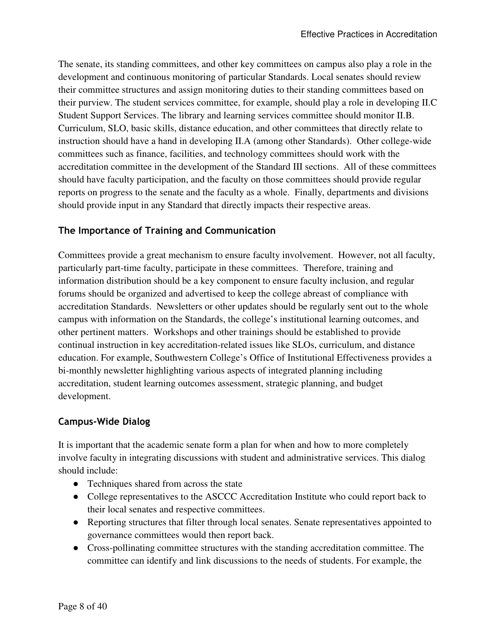The senate, its standing committees, and other key committees on campus also play a role in the development and continuous monitoring of particular Standards. Local senates should review their committee structures and assign monitoring duties to their standing committees based on their purview. The student services committee, for example, should play a role in developing II.C Student Support Services. The library and learning services committee should monitor II.B. Curriculum, SLO, basic skills, distance education, and other committees that directly relate to instruction should have a hand in developing II.A (among other Standards). Other college-wide committees such as finance, facilities, and technology committees should work with the accreditation committee in the development of the Standard III sections. All of these committees should have faculty participation, and the faculty on those committees should provide regular reports on progress to the senate and the faculty as a whole. Finally, departments and divisions should provide input in any Standard that directly impacts their respective areas.

### **The Importance of Training and Communication**

Committees provide a great mechanism to ensure faculty involvement. However, not all faculty, particularly part-time faculty, participate in these committees. Therefore, training and information distribution should be a key component to ensure faculty inclusion, and regular forums should be organized and advertised to keep the college abreast of compliance with accreditation Standards. Newsletters or other updates should be regularly sent out to the whole campus with information on the Standards, the college's institutional learning outcomes, and other pertinent matters. Workshops and other trainings should be established to provide continual instruction in key accreditation-related issues like SLOs, curriculum, and distance education. For example, Southwestern College's Office of Institutional Effectiveness provides a bi-monthly newsletter highlighting various aspects of integrated planning including accreditation, student learning outcomes assessment, strategic planning, and budget development.

### **Campus-Wide Dialog**

It is important that the academic senate form a plan for when and how to more completely involve faculty in integrating discussions with student and administrative services. This dialog should include:

- Techniques shared from across the state
- College representatives to the ASCCC Accreditation Institute who could report back to their local senates and respective committees.
- Reporting structures that filter through local senates. Senate representatives appointed to governance committees would then report back.
- Cross-pollinating committee structures with the standing accreditation committee. The committee can identify and link discussions to the needs of students. For example, the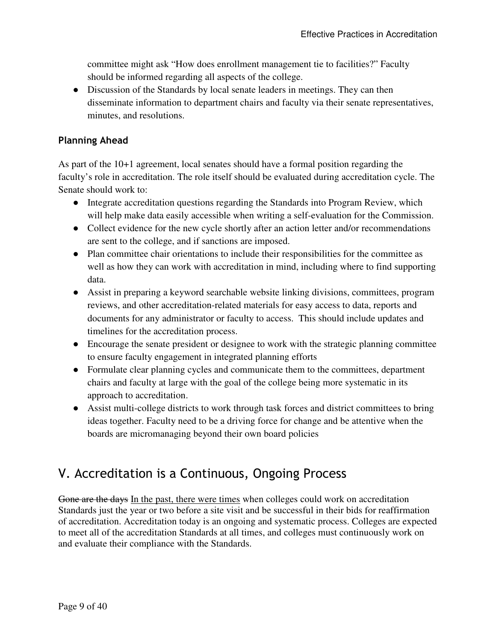committee might ask "How does enrollment management tie to facilities?" Faculty should be informed regarding all aspects of the college.

• Discussion of the Standards by local senate leaders in meetings. They can then disseminate information to department chairs and faculty via their senate representatives, minutes, and resolutions.

### **Planning Ahead**

As part of the 10+1 agreement, local senates should have a formal position regarding the faculty's role in accreditation. The role itself should be evaluated during accreditation cycle. The Senate should work to:

- Integrate accreditation questions regarding the Standards into Program Review, which will help make data easily accessible when writing a self-evaluation for the Commission.
- Collect evidence for the new cycle shortly after an action letter and/or recommendations are sent to the college, and if sanctions are imposed.
- Plan committee chair orientations to include their responsibilities for the committee as well as how they can work with accreditation in mind, including where to find supporting data.
- Assist in preparing a keyword searchable website linking divisions, committees, program reviews, and other accreditation-related materials for easy access to data, reports and documents for any administrator or faculty to access. This should include updates and timelines for the accreditation process.
- Encourage the senate president or designee to work with the strategic planning committee to ensure faculty engagement in integrated planning efforts
- Formulate clear planning cycles and communicate them to the committees, department chairs and faculty at large with the goal of the college being more systematic in its approach to accreditation.
- Assist multi-college districts to work through task forces and district committees to bring ideas together. Faculty need to be a driving force for change and be attentive when the boards are micromanaging beyond their own board policies

# V. Accreditation is a Continuous, Ongoing Process

Gone are the days In the past, there were times when colleges could work on accreditation Standards just the year or two before a site visit and be successful in their bids for reaffirmation of accreditation. Accreditation today is an ongoing and systematic process. Colleges are expected to meet all of the accreditation Standards at all times, and colleges must continuously work on and evaluate their compliance with the Standards.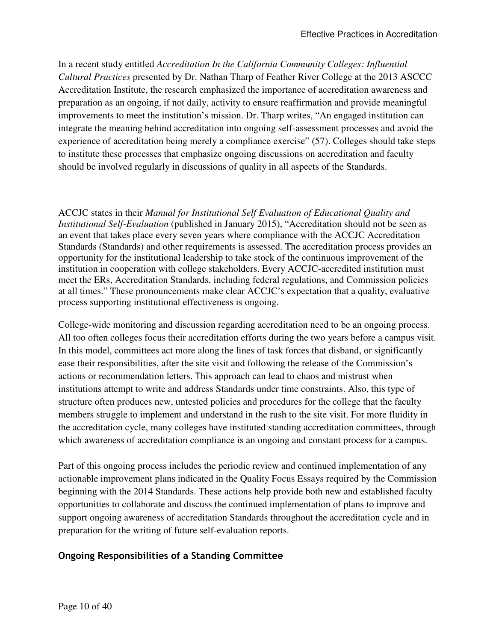In a recent study entitled *Accreditation In the California Community Colleges: Influential Cultural Practices* presented by Dr. Nathan Tharp of Feather River College at the 2013 ASCCC Accreditation Institute, the research emphasized the importance of accreditation awareness and preparation as an ongoing, if not daily, activity to ensure reaffirmation and provide meaningful improvements to meet the institution's mission. Dr. Tharp writes, "An engaged institution can integrate the meaning behind accreditation into ongoing self-assessment processes and avoid the experience of accreditation being merely a compliance exercise" (57). Colleges should take steps to institute these processes that emphasize ongoing discussions on accreditation and faculty should be involved regularly in discussions of quality in all aspects of the Standards.

ACCJC states in their *Manual for Institutional Self Evaluation of Educational Quality and Institutional Self-Evaluation* (published in January 2015), "Accreditation should not be seen as an event that takes place every seven years where compliance with the ACCJC Accreditation Standards (Standards) and other requirements is assessed. The accreditation process provides an opportunity for the institutional leadership to take stock of the continuous improvement of the institution in cooperation with college stakeholders. Every ACCJC-accredited institution must meet the ERs, Accreditation Standards, including federal regulations, and Commission policies at all times." These pronouncements make clear ACCJC's expectation that a quality, evaluative process supporting institutional effectiveness is ongoing.

College-wide monitoring and discussion regarding accreditation need to be an ongoing process. All too often colleges focus their accreditation efforts during the two years before a campus visit. In this model, committees act more along the lines of task forces that disband, or significantly ease their responsibilities, after the site visit and following the release of the Commission's actions or recommendation letters. This approach can lead to chaos and mistrust when institutions attempt to write and address Standards under time constraints. Also, this type of structure often produces new, untested policies and procedures for the college that the faculty members struggle to implement and understand in the rush to the site visit. For more fluidity in the accreditation cycle, many colleges have instituted standing accreditation committees, through which awareness of accreditation compliance is an ongoing and constant process for a campus.

Part of this ongoing process includes the periodic review and continued implementation of any actionable improvement plans indicated in the Quality Focus Essays required by the Commission beginning with the 2014 Standards. These actions help provide both new and established faculty opportunities to collaborate and discuss the continued implementation of plans to improve and support ongoing awareness of accreditation Standards throughout the accreditation cycle and in preparation for the writing of future self-evaluation reports.

### **Ongoing Responsibilities of a Standing Committee**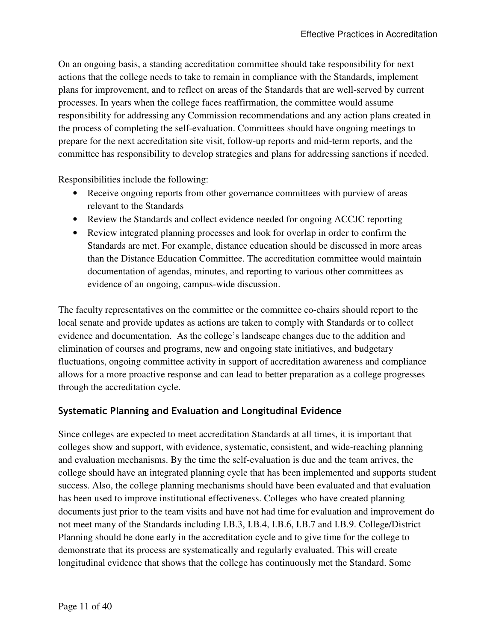On an ongoing basis, a standing accreditation committee should take responsibility for next actions that the college needs to take to remain in compliance with the Standards, implement plans for improvement, and to reflect on areas of the Standards that are well-served by current processes. In years when the college faces reaffirmation, the committee would assume responsibility for addressing any Commission recommendations and any action plans created in the process of completing the self-evaluation. Committees should have ongoing meetings to prepare for the next accreditation site visit, follow-up reports and mid-term reports, and the committee has responsibility to develop strategies and plans for addressing sanctions if needed.

Responsibilities include the following:

- Receive ongoing reports from other governance committees with purview of areas relevant to the Standards
- Review the Standards and collect evidence needed for ongoing ACCJC reporting
- Review integrated planning processes and look for overlap in order to confirm the Standards are met. For example, distance education should be discussed in more areas than the Distance Education Committee. The accreditation committee would maintain documentation of agendas, minutes, and reporting to various other committees as evidence of an ongoing, campus-wide discussion.

The faculty representatives on the committee or the committee co-chairs should report to the local senate and provide updates as actions are taken to comply with Standards or to collect evidence and documentation. As the college's landscape changes due to the addition and elimination of courses and programs, new and ongoing state initiatives, and budgetary fluctuations, ongoing committee activity in support of accreditation awareness and compliance allows for a more proactive response and can lead to better preparation as a college progresses through the accreditation cycle.

### **Systematic Planning and Evaluation and Longitudinal Evidence**

Since colleges are expected to meet accreditation Standards at all times, it is important that colleges show and support, with evidence, systematic, consistent, and wide-reaching planning and evaluation mechanisms. By the time the self-evaluation is due and the team arrives, the college should have an integrated planning cycle that has been implemented and supports student success. Also, the college planning mechanisms should have been evaluated and that evaluation has been used to improve institutional effectiveness. Colleges who have created planning documents just prior to the team visits and have not had time for evaluation and improvement do not meet many of the Standards including I.B.3, I.B.4, I.B.6, I.B.7 and I.B.9. College/District Planning should be done early in the accreditation cycle and to give time for the college to demonstrate that its process are systematically and regularly evaluated. This will create longitudinal evidence that shows that the college has continuously met the Standard. Some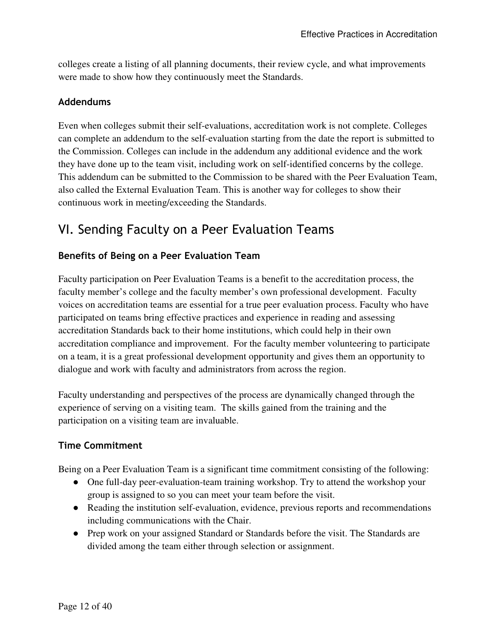colleges create a listing of all planning documents, their review cycle, and what improvements were made to show how they continuously meet the Standards.

### **Addendums**

Even when colleges submit their self-evaluations, accreditation work is not complete. Colleges can complete an addendum to the self-evaluation starting from the date the report is submitted to the Commission. Colleges can include in the addendum any additional evidence and the work they have done up to the team visit, including work on self-identified concerns by the college. This addendum can be submitted to the Commission to be shared with the Peer Evaluation Team, also called the External Evaluation Team. This is another way for colleges to show their continuous work in meeting/exceeding the Standards.

# VI. Sending Faculty on a Peer Evaluation Teams

### **Benefits of Being on a Peer Evaluation Team**

Faculty participation on Peer Evaluation Teams is a benefit to the accreditation process, the faculty member's college and the faculty member's own professional development. Faculty voices on accreditation teams are essential for a true peer evaluation process. Faculty who have participated on teams bring effective practices and experience in reading and assessing accreditation Standards back to their home institutions, which could help in their own accreditation compliance and improvement. For the faculty member volunteering to participate on a team, it is a great professional development opportunity and gives them an opportunity to dialogue and work with faculty and administrators from across the region.

Faculty understanding and perspectives of the process are dynamically changed through the experience of serving on a visiting team. The skills gained from the training and the participation on a visiting team are invaluable.

### **Time Commitment**

Being on a Peer Evaluation Team is a significant time commitment consisting of the following:

- One full-day peer-evaluation-team training workshop. Try to attend the workshop your group is assigned to so you can meet your team before the visit.
- Reading the institution self-evaluation, evidence, previous reports and recommendations including communications with the Chair.
- Prep work on your assigned Standard or Standards before the visit. The Standards are divided among the team either through selection or assignment.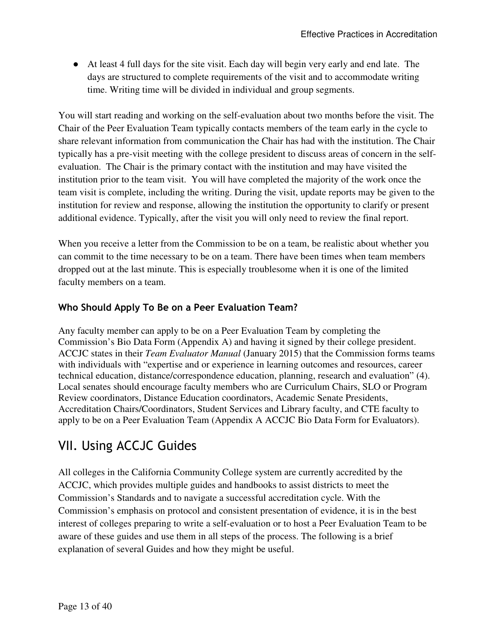● At least 4 full days for the site visit. Each day will begin very early and end late. The days are structured to complete requirements of the visit and to accommodate writing time. Writing time will be divided in individual and group segments.

You will start reading and working on the self-evaluation about two months before the visit. The Chair of the Peer Evaluation Team typically contacts members of the team early in the cycle to share relevant information from communication the Chair has had with the institution. The Chair typically has a pre-visit meeting with the college president to discuss areas of concern in the selfevaluation. The Chair is the primary contact with the institution and may have visited the institution prior to the team visit. You will have completed the majority of the work once the team visit is complete, including the writing. During the visit, update reports may be given to the institution for review and response, allowing the institution the opportunity to clarify or present additional evidence. Typically, after the visit you will only need to review the final report.

When you receive a letter from the Commission to be on a team, be realistic about whether you can commit to the time necessary to be on a team. There have been times when team members dropped out at the last minute. This is especially troublesome when it is one of the limited faculty members on a team.

### **Who Should Apply To Be on a Peer Evaluation Team?**

Any faculty member can apply to be on a Peer Evaluation Team by completing the Commission's Bio Data Form (Appendix A) and having it signed by their college president. ACCJC states in their *Team Evaluator Manual* (January 2015) that the Commission forms teams with individuals with "expertise and or experience in learning outcomes and resources, career technical education, distance/correspondence education, planning, research and evaluation" (4). Local senates should encourage faculty members who are Curriculum Chairs, SLO or Program Review coordinators, Distance Education coordinators, Academic Senate Presidents, Accreditation Chairs/Coordinators, Student Services and Library faculty, and CTE faculty to apply to be on a Peer Evaluation Team (Appendix A ACCJC Bio Data Form for Evaluators).

# VII. Using ACCJC Guides

All colleges in the California Community College system are currently accredited by the ACCJC, which provides multiple guides and handbooks to assist districts to meet the Commission's Standards and to navigate a successful accreditation cycle. With the Commission's emphasis on protocol and consistent presentation of evidence, it is in the best interest of colleges preparing to write a self-evaluation or to host a Peer Evaluation Team to be aware of these guides and use them in all steps of the process. The following is a brief explanation of several Guides and how they might be useful.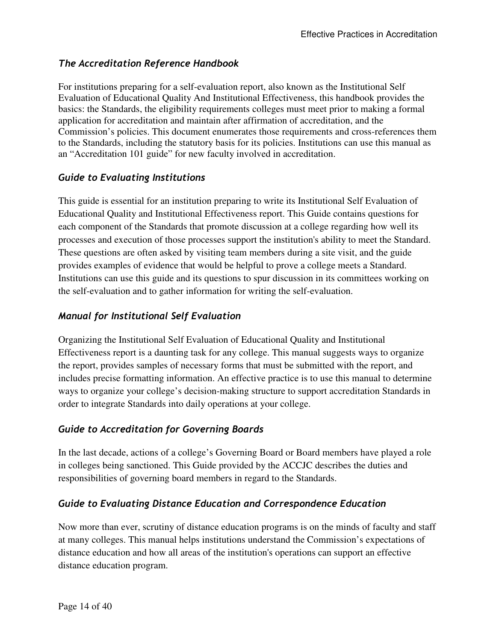### *The Accreditation Reference Handbook*

For institutions preparing for a self-evaluation report, also known as the Institutional Self Evaluation of Educational Quality And Institutional Effectiveness, this handbook provides the basics: the Standards, the eligibility requirements colleges must meet prior to making a formal application for accreditation and maintain after affirmation of accreditation, and the Commission's policies. This document enumerates those requirements and cross-references them to the Standards, including the statutory basis for its policies. Institutions can use this manual as an "Accreditation 101 guide" for new faculty involved in accreditation.

### *Guide to Evaluating Institutions*

This guide is essential for an institution preparing to write its Institutional Self Evaluation of Educational Quality and Institutional Effectiveness report. This Guide contains questions for each component of the Standards that promote discussion at a college regarding how well its processes and execution of those processes support the institution's ability to meet the Standard. These questions are often asked by visiting team members during a site visit, and the guide provides examples of evidence that would be helpful to prove a college meets a Standard. Institutions can use this guide and its questions to spur discussion in its committees working on the self-evaluation and to gather information for writing the self-evaluation.

### *Manual for Institutional Self Evaluation*

Organizing the Institutional Self Evaluation of Educational Quality and Institutional Effectiveness report is a daunting task for any college. This manual suggests ways to organize the report, provides samples of necessary forms that must be submitted with the report, and includes precise formatting information. An effective practice is to use this manual to determine ways to organize your college's decision-making structure to support accreditation Standards in order to integrate Standards into daily operations at your college.

### *Guide to Accreditation for Governing Boards*

In the last decade, actions of a college's Governing Board or Board members have played a role in colleges being sanctioned. This Guide provided by the ACCJC describes the duties and responsibilities of governing board members in regard to the Standards.

### *Guide to Evaluating Distance Education and Correspondence Education*

Now more than ever, scrutiny of distance education programs is on the minds of faculty and staff at many colleges. This manual helps institutions understand the Commission's expectations of distance education and how all areas of the institution's operations can support an effective distance education program.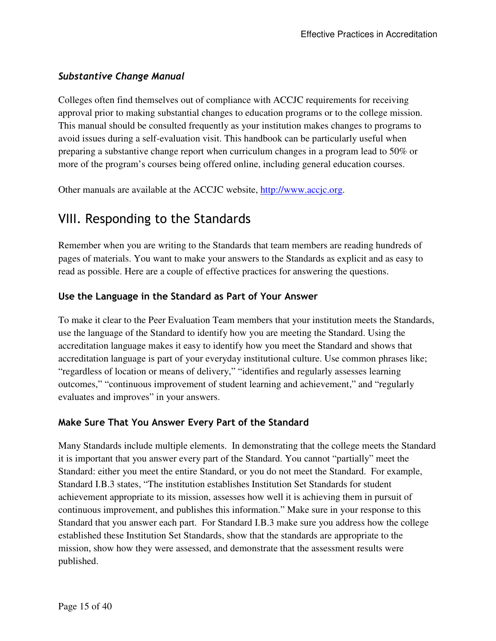### *Substantive Change Manual*

Colleges often find themselves out of compliance with ACCJC requirements for receiving approval prior to making substantial changes to education programs or to the college mission. This manual should be consulted frequently as your institution makes changes to programs to avoid issues during a self-evaluation visit. This handbook can be particularly useful when preparing a substantive change report when curriculum changes in a program lead to 50% or more of the program's courses being offered online, including general education courses.

Other manuals are available at the ACCJC website, http://www.accjc.org.

# VIII. Responding to the Standards

Remember when you are writing to the Standards that team members are reading hundreds of pages of materials. You want to make your answers to the Standards as explicit and as easy to read as possible. Here are a couple of effective practices for answering the questions.

### **Use the Language in the Standard as Part of Your Answer**

To make it clear to the Peer Evaluation Team members that your institution meets the Standards, use the language of the Standard to identify how you are meeting the Standard. Using the accreditation language makes it easy to identify how you meet the Standard and shows that accreditation language is part of your everyday institutional culture. Use common phrases like; "regardless of location or means of delivery," "identifies and regularly assesses learning outcomes," "continuous improvement of student learning and achievement," and "regularly evaluates and improves" in your answers.

### **Make Sure That You Answer Every Part of the Standard**

Many Standards include multiple elements. In demonstrating that the college meets the Standard it is important that you answer every part of the Standard. You cannot "partially" meet the Standard: either you meet the entire Standard, or you do not meet the Standard. For example, Standard I.B.3 states, "The institution establishes Institution Set Standards for student achievement appropriate to its mission, assesses how well it is achieving them in pursuit of continuous improvement, and publishes this information." Make sure in your response to this Standard that you answer each part. For Standard I.B.3 make sure you address how the college established these Institution Set Standards, show that the standards are appropriate to the mission, show how they were assessed, and demonstrate that the assessment results were published.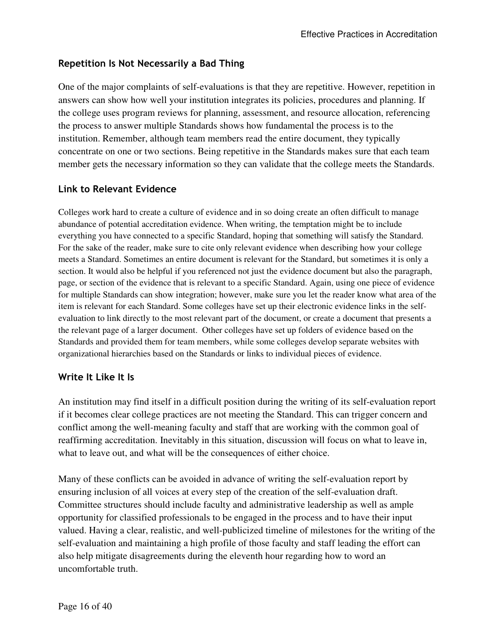### **Repetition Is Not Necessarily a Bad Thing**

One of the major complaints of self-evaluations is that they are repetitive. However, repetition in answers can show how well your institution integrates its policies, procedures and planning. If the college uses program reviews for planning, assessment, and resource allocation, referencing the process to answer multiple Standards shows how fundamental the process is to the institution. Remember, although team members read the entire document, they typically concentrate on one or two sections. Being repetitive in the Standards makes sure that each team member gets the necessary information so they can validate that the college meets the Standards.

### **Link to Relevant Evidence**

Colleges work hard to create a culture of evidence and in so doing create an often difficult to manage abundance of potential accreditation evidence. When writing, the temptation might be to include everything you have connected to a specific Standard, hoping that something will satisfy the Standard. For the sake of the reader, make sure to cite only relevant evidence when describing how your college meets a Standard. Sometimes an entire document is relevant for the Standard, but sometimes it is only a section. It would also be helpful if you referenced not just the evidence document but also the paragraph, page, or section of the evidence that is relevant to a specific Standard. Again, using one piece of evidence for multiple Standards can show integration; however, make sure you let the reader know what area of the item is relevant for each Standard. Some colleges have set up their electronic evidence links in the selfevaluation to link directly to the most relevant part of the document, or create a document that presents a the relevant page of a larger document. Other colleges have set up folders of evidence based on the Standards and provided them for team members, while some colleges develop separate websites with organizational hierarchies based on the Standards or links to individual pieces of evidence.

### **Write It Like It Is**

An institution may find itself in a difficult position during the writing of its self-evaluation report if it becomes clear college practices are not meeting the Standard. This can trigger concern and conflict among the well-meaning faculty and staff that are working with the common goal of reaffirming accreditation. Inevitably in this situation, discussion will focus on what to leave in, what to leave out, and what will be the consequences of either choice.

Many of these conflicts can be avoided in advance of writing the self-evaluation report by ensuring inclusion of all voices at every step of the creation of the self-evaluation draft. Committee structures should include faculty and administrative leadership as well as ample opportunity for classified professionals to be engaged in the process and to have their input valued. Having a clear, realistic, and well-publicized timeline of milestones for the writing of the self-evaluation and maintaining a high profile of those faculty and staff leading the effort can also help mitigate disagreements during the eleventh hour regarding how to word an uncomfortable truth.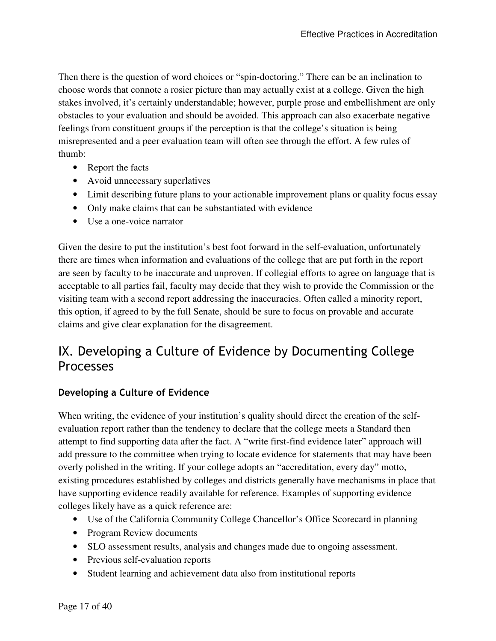Then there is the question of word choices or "spin-doctoring." There can be an inclination to choose words that connote a rosier picture than may actually exist at a college. Given the high stakes involved, it's certainly understandable; however, purple prose and embellishment are only obstacles to your evaluation and should be avoided. This approach can also exacerbate negative feelings from constituent groups if the perception is that the college's situation is being misrepresented and a peer evaluation team will often see through the effort. A few rules of thumb:

- Report the facts
- Avoid unnecessary superlatives
- Limit describing future plans to your actionable improvement plans or quality focus essay
- Only make claims that can be substantiated with evidence
- Use a one-voice narrator

Given the desire to put the institution's best foot forward in the self-evaluation, unfortunately there are times when information and evaluations of the college that are put forth in the report are seen by faculty to be inaccurate and unproven. If collegial efforts to agree on language that is acceptable to all parties fail, faculty may decide that they wish to provide the Commission or the visiting team with a second report addressing the inaccuracies. Often called a minority report, this option, if agreed to by the full Senate, should be sure to focus on provable and accurate claims and give clear explanation for the disagreement.

# IX. Developing a Culture of Evidence by Documenting College Processes

### **Developing a Culture of Evidence**

When writing, the evidence of your institution's quality should direct the creation of the selfevaluation report rather than the tendency to declare that the college meets a Standard then attempt to find supporting data after the fact. A "write first-find evidence later" approach will add pressure to the committee when trying to locate evidence for statements that may have been overly polished in the writing. If your college adopts an "accreditation, every day" motto, existing procedures established by colleges and districts generally have mechanisms in place that have supporting evidence readily available for reference. Examples of supporting evidence colleges likely have as a quick reference are:

- Use of the California Community College Chancellor's Office Scorecard in planning
- Program Review documents
- SLO assessment results, analysis and changes made due to ongoing assessment.
- Previous self-evaluation reports
- Student learning and achievement data also from institutional reports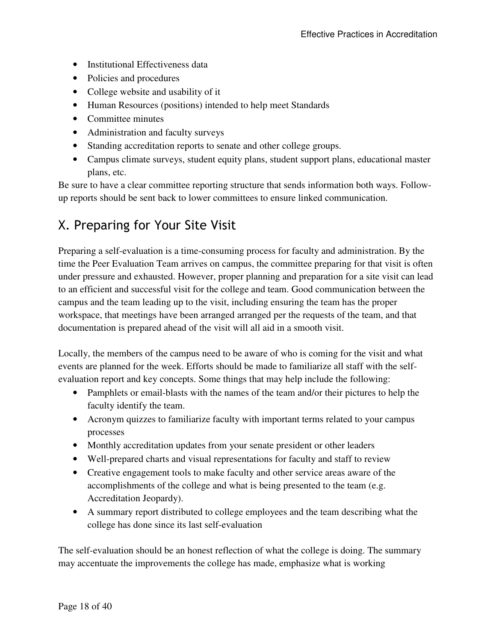- Institutional Effectiveness data
- Policies and procedures
- College website and usability of it
- Human Resources (positions) intended to help meet Standards
- Committee minutes
- Administration and faculty surveys
- Standing accreditation reports to senate and other college groups.
- Campus climate surveys, student equity plans, student support plans, educational master plans, etc.

Be sure to have a clear committee reporting structure that sends information both ways. Followup reports should be sent back to lower committees to ensure linked communication.

# X. Preparing for Your Site Visit

Preparing a self-evaluation is a time-consuming process for faculty and administration. By the time the Peer Evaluation Team arrives on campus, the committee preparing for that visit is often under pressure and exhausted. However, proper planning and preparation for a site visit can lead to an efficient and successful visit for the college and team. Good communication between the campus and the team leading up to the visit, including ensuring the team has the proper workspace, that meetings have been arranged arranged per the requests of the team, and that documentation is prepared ahead of the visit will all aid in a smooth visit.

Locally, the members of the campus need to be aware of who is coming for the visit and what events are planned for the week. Efforts should be made to familiarize all staff with the selfevaluation report and key concepts. Some things that may help include the following:

- Pamphlets or email-blasts with the names of the team and/or their pictures to help the faculty identify the team.
- Acronym quizzes to familiarize faculty with important terms related to your campus processes
- Monthly accreditation updates from your senate president or other leaders
- Well-prepared charts and visual representations for faculty and staff to review
- Creative engagement tools to make faculty and other service areas aware of the accomplishments of the college and what is being presented to the team (e.g. Accreditation Jeopardy).
- A summary report distributed to college employees and the team describing what the college has done since its last self-evaluation

The self-evaluation should be an honest reflection of what the college is doing. The summary may accentuate the improvements the college has made, emphasize what is working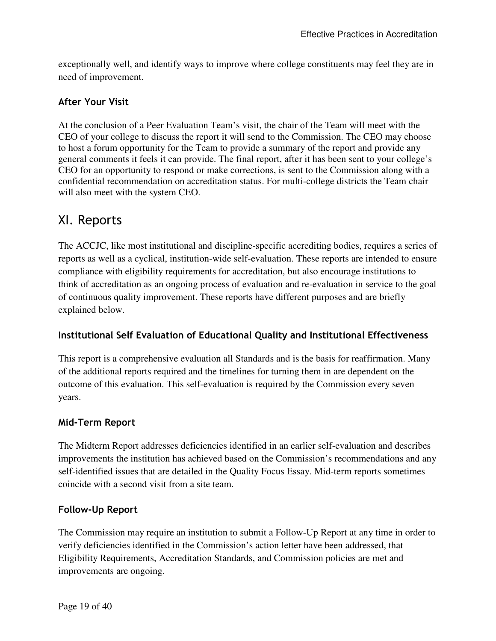exceptionally well, and identify ways to improve where college constituents may feel they are in need of improvement.

### **After Your Visit**

At the conclusion of a Peer Evaluation Team's visit, the chair of the Team will meet with the CEO of your college to discuss the report it will send to the Commission. The CEO may choose to host a forum opportunity for the Team to provide a summary of the report and provide any general comments it feels it can provide. The final report, after it has been sent to your college's CEO for an opportunity to respond or make corrections, is sent to the Commission along with a confidential recommendation on accreditation status. For multi-college districts the Team chair will also meet with the system CEO.

### XI. Reports

The ACCJC, like most institutional and discipline-specific accrediting bodies, requires a series of reports as well as a cyclical, institution-wide self-evaluation. These reports are intended to ensure compliance with eligibility requirements for accreditation, but also encourage institutions to think of accreditation as an ongoing process of evaluation and re-evaluation in service to the goal of continuous quality improvement. These reports have different purposes and are briefly explained below.

### **Institutional Self Evaluation of Educational Quality and Institutional Effectiveness**

This report is a comprehensive evaluation all Standards and is the basis for reaffirmation. Many of the additional reports required and the timelines for turning them in are dependent on the outcome of this evaluation. This self-evaluation is required by the Commission every seven years.

### **Mid-Term Report**

The Midterm Report addresses deficiencies identified in an earlier self-evaluation and describes improvements the institution has achieved based on the Commission's recommendations and any self-identified issues that are detailed in the Quality Focus Essay. Mid-term reports sometimes coincide with a second visit from a site team.

### **Follow-Up Report**

The Commission may require an institution to submit a Follow-Up Report at any time in order to verify deficiencies identified in the Commission's action letter have been addressed, that Eligibility Requirements, Accreditation Standards, and Commission policies are met and improvements are ongoing.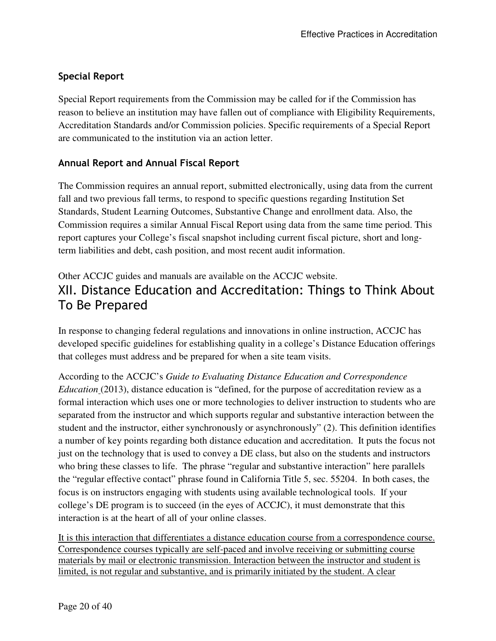### **Special Report**

Special Report requirements from the Commission may be called for if the Commission has reason to believe an institution may have fallen out of compliance with Eligibility Requirements, Accreditation Standards and/or Commission policies. Specific requirements of a Special Report are communicated to the institution via an action letter.

### **Annual Report and Annual Fiscal Report**

The Commission requires an annual report, submitted electronically, using data from the current fall and two previous fall terms, to respond to specific questions regarding Institution Set Standards, Student Learning Outcomes, Substantive Change and enrollment data. Also, the Commission requires a similar Annual Fiscal Report using data from the same time period. This report captures your College's fiscal snapshot including current fiscal picture, short and longterm liabilities and debt, cash position, and most recent audit information.

### Other ACCJC guides and manuals are available on the ACCJC website. XII. Distance Education and Accreditation: Things to Think About To Be Prepared

In response to changing federal regulations and innovations in online instruction, ACCJC has developed specific guidelines for establishing quality in a college's Distance Education offerings that colleges must address and be prepared for when a site team visits.

According to the ACCJC's *Guide to Evaluating Distance Education and Correspondence Education* (2013), distance education is "defined, for the purpose of accreditation review as a formal interaction which uses one or more technologies to deliver instruction to students who are separated from the instructor and which supports regular and substantive interaction between the student and the instructor, either synchronously or asynchronously" (2). This definition identifies a number of key points regarding both distance education and accreditation. It puts the focus not just on the technology that is used to convey a DE class, but also on the students and instructors who bring these classes to life. The phrase "regular and substantive interaction" here parallels the "regular effective contact" phrase found in California Title 5, sec. 55204. In both cases, the focus is on instructors engaging with students using available technological tools. If your college's DE program is to succeed (in the eyes of ACCJC), it must demonstrate that this interaction is at the heart of all of your online classes.

It is this interaction that differentiates a distance education course from a correspondence course. Correspondence courses typically are self-paced and involve receiving or submitting course materials by mail or electronic transmission. Interaction between the instructor and student is limited, is not regular and substantive, and is primarily initiated by the student. A clear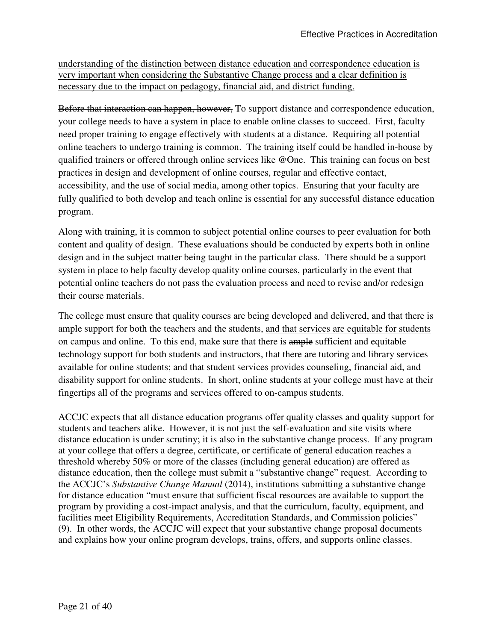understanding of the distinction between distance education and correspondence education is very important when considering the Substantive Change process and a clear definition is necessary due to the impact on pedagogy, financial aid, and district funding.

Before that interaction can happen, however, To support distance and correspondence education, your college needs to have a system in place to enable online classes to succeed. First, faculty need proper training to engage effectively with students at a distance. Requiring all potential online teachers to undergo training is common. The training itself could be handled in-house by qualified trainers or offered through online services like @One. This training can focus on best practices in design and development of online courses, regular and effective contact, accessibility, and the use of social media, among other topics. Ensuring that your faculty are fully qualified to both develop and teach online is essential for any successful distance education program.

Along with training, it is common to subject potential online courses to peer evaluation for both content and quality of design. These evaluations should be conducted by experts both in online design and in the subject matter being taught in the particular class. There should be a support system in place to help faculty develop quality online courses, particularly in the event that potential online teachers do not pass the evaluation process and need to revise and/or redesign their course materials.

The college must ensure that quality courses are being developed and delivered, and that there is ample support for both the teachers and the students, and that services are equitable for students on campus and online. To this end, make sure that there is ample sufficient and equitable technology support for both students and instructors, that there are tutoring and library services available for online students; and that student services provides counseling, financial aid, and disability support for online students. In short, online students at your college must have at their fingertips all of the programs and services offered to on-campus students.

ACCJC expects that all distance education programs offer quality classes and quality support for students and teachers alike. However, it is not just the self-evaluation and site visits where distance education is under scrutiny; it is also in the substantive change process. If any program at your college that offers a degree, certificate, or certificate of general education reaches a threshold whereby 50% or more of the classes (including general education) are offered as distance education, then the college must submit a "substantive change" request. According to the ACCJC's *Substantive Change Manual* (2014), institutions submitting a substantive change for distance education "must ensure that sufficient fiscal resources are available to support the program by providing a cost-impact analysis, and that the curriculum, faculty, equipment, and facilities meet Eligibility Requirements, Accreditation Standards, and Commission policies" (9). In other words, the ACCJC will expect that your substantive change proposal documents and explains how your online program develops, trains, offers, and supports online classes.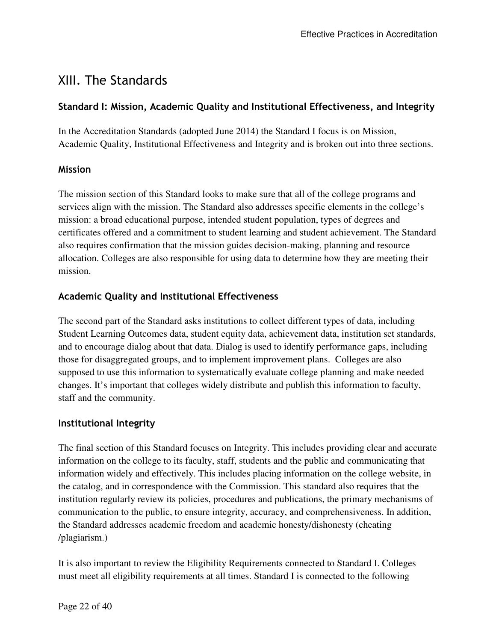# XIII. The Standards

### **Standard I: Mission, Academic Quality and Institutional Effectiveness, and Integrity**

In the Accreditation Standards (adopted June 2014) the Standard I focus is on Mission, Academic Quality, Institutional Effectiveness and Integrity and is broken out into three sections.

### **Mission**

The mission section of this Standard looks to make sure that all of the college programs and services align with the mission. The Standard also addresses specific elements in the college's mission: a broad educational purpose, intended student population, types of degrees and certificates offered and a commitment to student learning and student achievement. The Standard also requires confirmation that the mission guides decision-making, planning and resource allocation. Colleges are also responsible for using data to determine how they are meeting their mission.

### **Academic Quality and Institutional Effectiveness**

The second part of the Standard asks institutions to collect different types of data, including Student Learning Outcomes data, student equity data, achievement data, institution set standards, and to encourage dialog about that data. Dialog is used to identify performance gaps, including those for disaggregated groups, and to implement improvement plans. Colleges are also supposed to use this information to systematically evaluate college planning and make needed changes. It's important that colleges widely distribute and publish this information to faculty, staff and the community.

### **Institutional Integrity**

The final section of this Standard focuses on Integrity. This includes providing clear and accurate information on the college to its faculty, staff, students and the public and communicating that information widely and effectively. This includes placing information on the college website, in the catalog, and in correspondence with the Commission. This standard also requires that the institution regularly review its policies, procedures and publications, the primary mechanisms of communication to the public, to ensure integrity, accuracy, and comprehensiveness. In addition, the Standard addresses academic freedom and academic honesty/dishonesty (cheating /plagiarism.)

It is also important to review the Eligibility Requirements connected to Standard I. Colleges must meet all eligibility requirements at all times. Standard I is connected to the following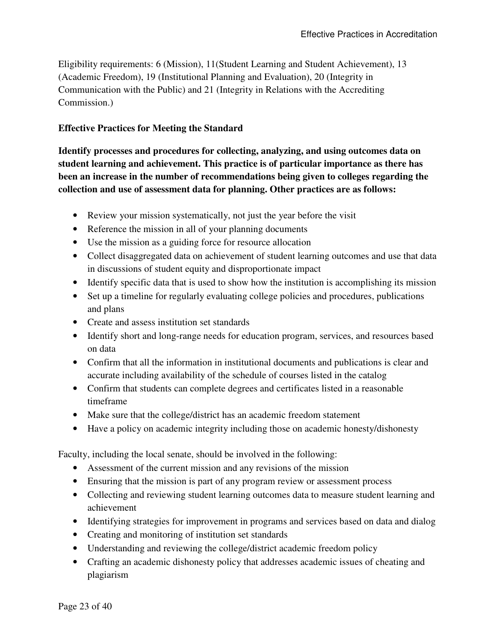Eligibility requirements: 6 (Mission), 11(Student Learning and Student Achievement), 13 (Academic Freedom), 19 (Institutional Planning and Evaluation), 20 (Integrity in Communication with the Public) and 21 (Integrity in Relations with the Accrediting Commission.)

### **Effective Practices for Meeting the Standard**

**Identify processes and procedures for collecting, analyzing, and using outcomes data on student learning and achievement. This practice is of particular importance as there has been an increase in the number of recommendations being given to colleges regarding the collection and use of assessment data for planning. Other practices are as follows:** 

- Review your mission systematically, not just the year before the visit
- Reference the mission in all of your planning documents
- Use the mission as a guiding force for resource allocation
- Collect disaggregated data on achievement of student learning outcomes and use that data in discussions of student equity and disproportionate impact
- Identify specific data that is used to show how the institution is accomplishing its mission
- Set up a timeline for regularly evaluating college policies and procedures, publications and plans
- Create and assess institution set standards
- Identify short and long-range needs for education program, services, and resources based on data
- Confirm that all the information in institutional documents and publications is clear and accurate including availability of the schedule of courses listed in the catalog
- Confirm that students can complete degrees and certificates listed in a reasonable timeframe
- Make sure that the college/district has an academic freedom statement
- Have a policy on academic integrity including those on academic honesty/dishonesty

Faculty, including the local senate, should be involved in the following:

- Assessment of the current mission and any revisions of the mission
- Ensuring that the mission is part of any program review or assessment process
- Collecting and reviewing student learning outcomes data to measure student learning and achievement
- Identifying strategies for improvement in programs and services based on data and dialog
- Creating and monitoring of institution set standards
- Understanding and reviewing the college/district academic freedom policy
- Crafting an academic dishonesty policy that addresses academic issues of cheating and plagiarism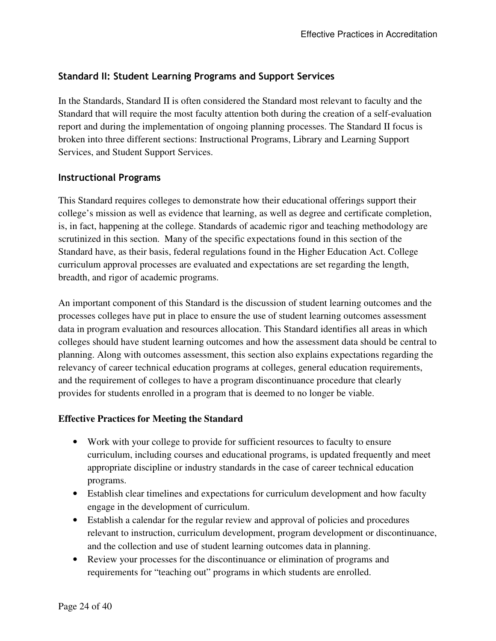### **Standard II: Student Learning Programs and Support Services**

In the Standards, Standard II is often considered the Standard most relevant to faculty and the Standard that will require the most faculty attention both during the creation of a self-evaluation report and during the implementation of ongoing planning processes. The Standard II focus is broken into three different sections: Instructional Programs, Library and Learning Support Services, and Student Support Services.

### **Instructional Programs**

This Standard requires colleges to demonstrate how their educational offerings support their college's mission as well as evidence that learning, as well as degree and certificate completion, is, in fact, happening at the college. Standards of academic rigor and teaching methodology are scrutinized in this section. Many of the specific expectations found in this section of the Standard have, as their basis, federal regulations found in the Higher Education Act. College curriculum approval processes are evaluated and expectations are set regarding the length, breadth, and rigor of academic programs.

An important component of this Standard is the discussion of student learning outcomes and the processes colleges have put in place to ensure the use of student learning outcomes assessment data in program evaluation and resources allocation. This Standard identifies all areas in which colleges should have student learning outcomes and how the assessment data should be central to planning. Along with outcomes assessment, this section also explains expectations regarding the relevancy of career technical education programs at colleges, general education requirements, and the requirement of colleges to have a program discontinuance procedure that clearly provides for students enrolled in a program that is deemed to no longer be viable.

### **Effective Practices for Meeting the Standard**

- Work with your college to provide for sufficient resources to faculty to ensure curriculum, including courses and educational programs, is updated frequently and meet appropriate discipline or industry standards in the case of career technical education programs.
- Establish clear timelines and expectations for curriculum development and how faculty engage in the development of curriculum.
- Establish a calendar for the regular review and approval of policies and procedures relevant to instruction, curriculum development, program development or discontinuance, and the collection and use of student learning outcomes data in planning.
- Review your processes for the discontinuance or elimination of programs and requirements for "teaching out" programs in which students are enrolled.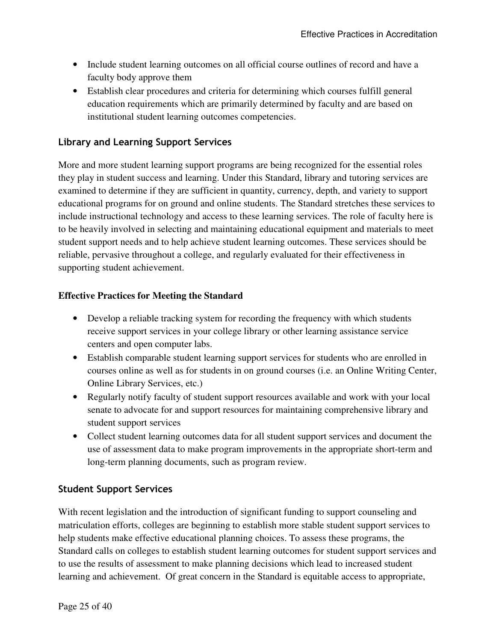- Include student learning outcomes on all official course outlines of record and have a faculty body approve them
- Establish clear procedures and criteria for determining which courses fulfill general education requirements which are primarily determined by faculty and are based on institutional student learning outcomes competencies.

### **Library and Learning Support Services**

More and more student learning support programs are being recognized for the essential roles they play in student success and learning. Under this Standard, library and tutoring services are examined to determine if they are sufficient in quantity, currency, depth, and variety to support educational programs for on ground and online students. The Standard stretches these services to include instructional technology and access to these learning services. The role of faculty here is to be heavily involved in selecting and maintaining educational equipment and materials to meet student support needs and to help achieve student learning outcomes. These services should be reliable, pervasive throughout a college, and regularly evaluated for their effectiveness in supporting student achievement.

### **Effective Practices for Meeting the Standard**

- Develop a reliable tracking system for recording the frequency with which students receive support services in your college library or other learning assistance service centers and open computer labs.
- Establish comparable student learning support services for students who are enrolled in courses online as well as for students in on ground courses (i.e. an Online Writing Center, Online Library Services, etc.)
- Regularly notify faculty of student support resources available and work with your local senate to advocate for and support resources for maintaining comprehensive library and student support services
- Collect student learning outcomes data for all student support services and document the use of assessment data to make program improvements in the appropriate short-term and long-term planning documents, such as program review.

### **Student Support Services**

With recent legislation and the introduction of significant funding to support counseling and matriculation efforts, colleges are beginning to establish more stable student support services to help students make effective educational planning choices. To assess these programs, the Standard calls on colleges to establish student learning outcomes for student support services and to use the results of assessment to make planning decisions which lead to increased student learning and achievement. Of great concern in the Standard is equitable access to appropriate,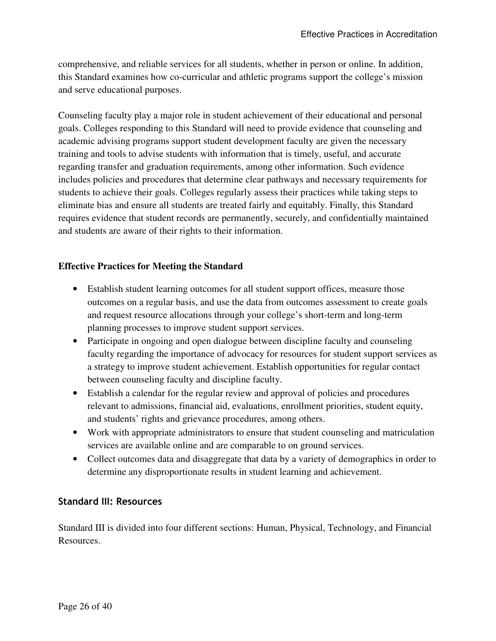comprehensive, and reliable services for all students, whether in person or online. In addition, this Standard examines how co-curricular and athletic programs support the college's mission and serve educational purposes.

Counseling faculty play a major role in student achievement of their educational and personal goals. Colleges responding to this Standard will need to provide evidence that counseling and academic advising programs support student development faculty are given the necessary training and tools to advise students with information that is timely, useful, and accurate regarding transfer and graduation requirements, among other information. Such evidence includes policies and procedures that determine clear pathways and necessary requirements for students to achieve their goals. Colleges regularly assess their practices while taking steps to eliminate bias and ensure all students are treated fairly and equitably. Finally, this Standard requires evidence that student records are permanently, securely, and confidentially maintained and students are aware of their rights to their information.

### **Effective Practices for Meeting the Standard**

- Establish student learning outcomes for all student support offices, measure those outcomes on a regular basis, and use the data from outcomes assessment to create goals and request resource allocations through your college's short-term and long-term planning processes to improve student support services.
- Participate in ongoing and open dialogue between discipline faculty and counseling faculty regarding the importance of advocacy for resources for student support services as a strategy to improve student achievement. Establish opportunities for regular contact between counseling faculty and discipline faculty.
- Establish a calendar for the regular review and approval of policies and procedures relevant to admissions, financial aid, evaluations, enrollment priorities, student equity, and students' rights and grievance procedures, among others.
- Work with appropriate administrators to ensure that student counseling and matriculation services are available online and are comparable to on ground services.
- Collect outcomes data and disaggregate that data by a variety of demographics in order to determine any disproportionate results in student learning and achievement.

### **Standard III: Resources**

Standard III is divided into four different sections: Human, Physical, Technology, and Financial Resources.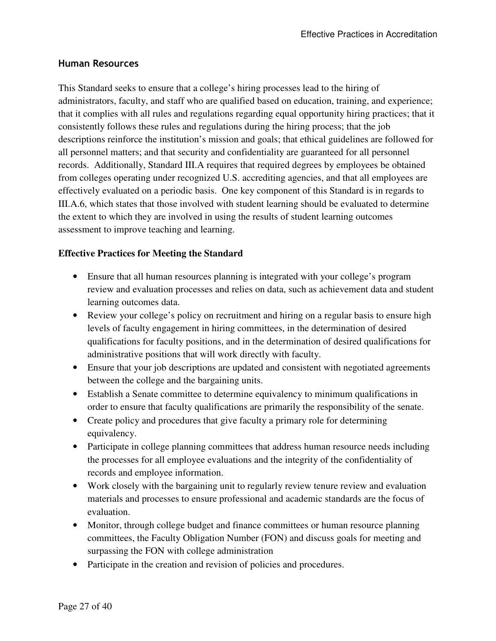### **Human Resources**

This Standard seeks to ensure that a college's hiring processes lead to the hiring of administrators, faculty, and staff who are qualified based on education, training, and experience; that it complies with all rules and regulations regarding equal opportunity hiring practices; that it consistently follows these rules and regulations during the hiring process; that the job descriptions reinforce the institution's mission and goals; that ethical guidelines are followed for all personnel matters; and that security and confidentiality are guaranteed for all personnel records. Additionally, Standard III.A requires that required degrees by employees be obtained from colleges operating under recognized U.S. accrediting agencies, and that all employees are effectively evaluated on a periodic basis. One key component of this Standard is in regards to III.A.6, which states that those involved with student learning should be evaluated to determine the extent to which they are involved in using the results of student learning outcomes assessment to improve teaching and learning.

### **Effective Practices for Meeting the Standard**

- Ensure that all human resources planning is integrated with your college's program review and evaluation processes and relies on data, such as achievement data and student learning outcomes data.
- Review your college's policy on recruitment and hiring on a regular basis to ensure high levels of faculty engagement in hiring committees, in the determination of desired qualifications for faculty positions, and in the determination of desired qualifications for administrative positions that will work directly with faculty.
- Ensure that your job descriptions are updated and consistent with negotiated agreements between the college and the bargaining units.
- Establish a Senate committee to determine equivalency to minimum qualifications in order to ensure that faculty qualifications are primarily the responsibility of the senate.
- Create policy and procedures that give faculty a primary role for determining equivalency.
- Participate in college planning committees that address human resource needs including the processes for all employee evaluations and the integrity of the confidentiality of records and employee information.
- Work closely with the bargaining unit to regularly review tenure review and evaluation materials and processes to ensure professional and academic standards are the focus of evaluation.
- Monitor, through college budget and finance committees or human resource planning committees, the Faculty Obligation Number (FON) and discuss goals for meeting and surpassing the FON with college administration
- Participate in the creation and revision of policies and procedures.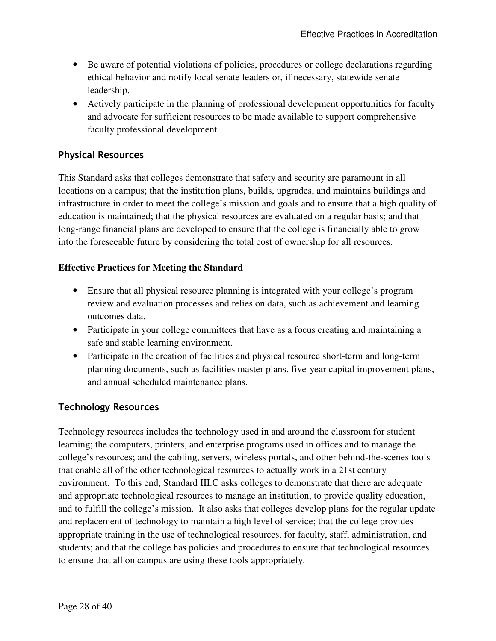- Be aware of potential violations of policies, procedures or college declarations regarding ethical behavior and notify local senate leaders or, if necessary, statewide senate leadership.
- Actively participate in the planning of professional development opportunities for faculty and advocate for sufficient resources to be made available to support comprehensive faculty professional development.

### **Physical Resources**

This Standard asks that colleges demonstrate that safety and security are paramount in all locations on a campus; that the institution plans, builds, upgrades, and maintains buildings and infrastructure in order to meet the college's mission and goals and to ensure that a high quality of education is maintained; that the physical resources are evaluated on a regular basis; and that long-range financial plans are developed to ensure that the college is financially able to grow into the foreseeable future by considering the total cost of ownership for all resources.

### **Effective Practices for Meeting the Standard**

- Ensure that all physical resource planning is integrated with your college's program review and evaluation processes and relies on data, such as achievement and learning outcomes data.
- Participate in your college committees that have as a focus creating and maintaining a safe and stable learning environment.
- Participate in the creation of facilities and physical resource short-term and long-term planning documents, such as facilities master plans, five-year capital improvement plans, and annual scheduled maintenance plans.

### **Technology Resources**

Technology resources includes the technology used in and around the classroom for student learning; the computers, printers, and enterprise programs used in offices and to manage the college's resources; and the cabling, servers, wireless portals, and other behind-the-scenes tools that enable all of the other technological resources to actually work in a 21st century environment. To this end, Standard III.C asks colleges to demonstrate that there are adequate and appropriate technological resources to manage an institution, to provide quality education, and to fulfill the college's mission. It also asks that colleges develop plans for the regular update and replacement of technology to maintain a high level of service; that the college provides appropriate training in the use of technological resources, for faculty, staff, administration, and students; and that the college has policies and procedures to ensure that technological resources to ensure that all on campus are using these tools appropriately.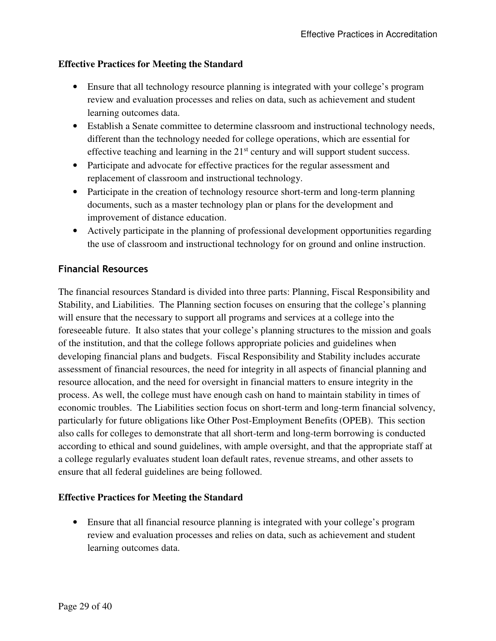### **Effective Practices for Meeting the Standard**

- Ensure that all technology resource planning is integrated with your college's program review and evaluation processes and relies on data, such as achievement and student learning outcomes data.
- Establish a Senate committee to determine classroom and instructional technology needs, different than the technology needed for college operations, which are essential for effective teaching and learning in the  $21<sup>st</sup>$  century and will support student success.
- Participate and advocate for effective practices for the regular assessment and replacement of classroom and instructional technology.
- Participate in the creation of technology resource short-term and long-term planning documents, such as a master technology plan or plans for the development and improvement of distance education.
- Actively participate in the planning of professional development opportunities regarding the use of classroom and instructional technology for on ground and online instruction.

### **Financial Resources**

The financial resources Standard is divided into three parts: Planning, Fiscal Responsibility and Stability, and Liabilities. The Planning section focuses on ensuring that the college's planning will ensure that the necessary to support all programs and services at a college into the foreseeable future. It also states that your college's planning structures to the mission and goals of the institution, and that the college follows appropriate policies and guidelines when developing financial plans and budgets. Fiscal Responsibility and Stability includes accurate assessment of financial resources, the need for integrity in all aspects of financial planning and resource allocation, and the need for oversight in financial matters to ensure integrity in the process. As well, the college must have enough cash on hand to maintain stability in times of economic troubles. The Liabilities section focus on short-term and long-term financial solvency, particularly for future obligations like Other Post-Employment Benefits (OPEB). This section also calls for colleges to demonstrate that all short-term and long-term borrowing is conducted according to ethical and sound guidelines, with ample oversight, and that the appropriate staff at a college regularly evaluates student loan default rates, revenue streams, and other assets to ensure that all federal guidelines are being followed.

### **Effective Practices for Meeting the Standard**

• Ensure that all financial resource planning is integrated with your college's program review and evaluation processes and relies on data, such as achievement and student learning outcomes data.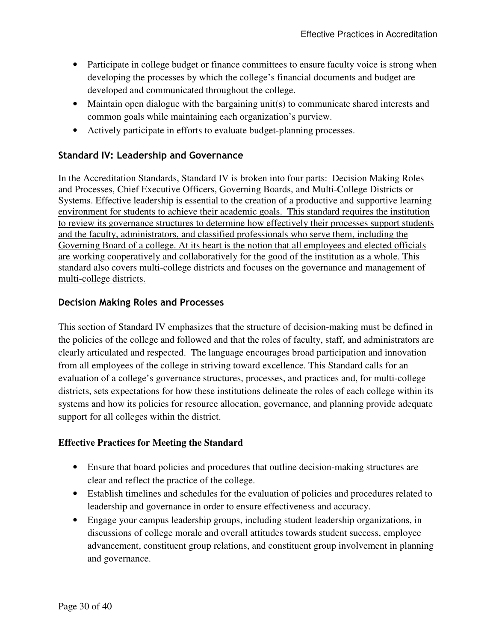- Participate in college budget or finance committees to ensure faculty voice is strong when developing the processes by which the college's financial documents and budget are developed and communicated throughout the college.
- Maintain open dialogue with the bargaining unit(s) to communicate shared interests and common goals while maintaining each organization's purview.
- Actively participate in efforts to evaluate budget-planning processes.

### **Standard IV: Leadership and Governance**

In the Accreditation Standards, Standard IV is broken into four parts: Decision Making Roles and Processes, Chief Executive Officers, Governing Boards, and Multi-College Districts or Systems. Effective leadership is essential to the creation of a productive and supportive learning environment for students to achieve their academic goals. This standard requires the institution to review its governance structures to determine how effectively their processes support students and the faculty, administrators, and classified professionals who serve them, including the Governing Board of a college. At its heart is the notion that all employees and elected officials are working cooperatively and collaboratively for the good of the institution as a whole. This standard also covers multi-college districts and focuses on the governance and management of multi-college districts.

### **Decision Making Roles and Processes**

This section of Standard IV emphasizes that the structure of decision-making must be defined in the policies of the college and followed and that the roles of faculty, staff, and administrators are clearly articulated and respected. The language encourages broad participation and innovation from all employees of the college in striving toward excellence. This Standard calls for an evaluation of a college's governance structures, processes, and practices and, for multi-college districts, sets expectations for how these institutions delineate the roles of each college within its systems and how its policies for resource allocation, governance, and planning provide adequate support for all colleges within the district.

### **Effective Practices for Meeting the Standard**

- Ensure that board policies and procedures that outline decision-making structures are clear and reflect the practice of the college.
- Establish timelines and schedules for the evaluation of policies and procedures related to leadership and governance in order to ensure effectiveness and accuracy.
- Engage your campus leadership groups, including student leadership organizations, in discussions of college morale and overall attitudes towards student success, employee advancement, constituent group relations, and constituent group involvement in planning and governance.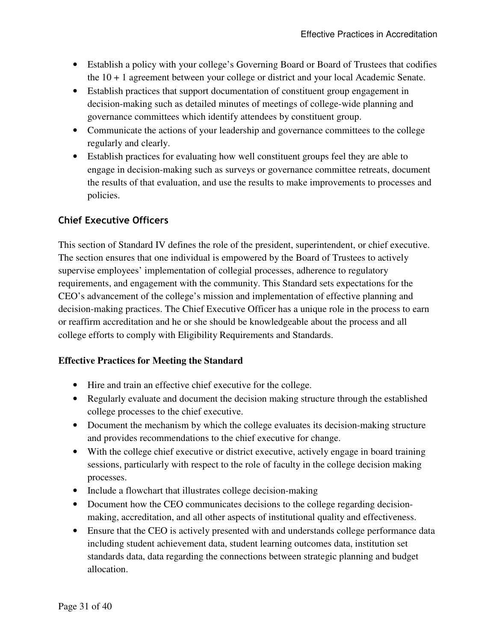- Establish a policy with your college's Governing Board or Board of Trustees that codifies the 10 + 1 agreement between your college or district and your local Academic Senate.
- Establish practices that support documentation of constituent group engagement in decision-making such as detailed minutes of meetings of college-wide planning and governance committees which identify attendees by constituent group.
- Communicate the actions of your leadership and governance committees to the college regularly and clearly.
- Establish practices for evaluating how well constituent groups feel they are able to engage in decision-making such as surveys or governance committee retreats, document the results of that evaluation, and use the results to make improvements to processes and policies.

### **Chief Executive Officers**

This section of Standard IV defines the role of the president, superintendent, or chief executive. The section ensures that one individual is empowered by the Board of Trustees to actively supervise employees' implementation of collegial processes, adherence to regulatory requirements, and engagement with the community. This Standard sets expectations for the CEO's advancement of the college's mission and implementation of effective planning and decision-making practices. The Chief Executive Officer has a unique role in the process to earn or reaffirm accreditation and he or she should be knowledgeable about the process and all college efforts to comply with Eligibility Requirements and Standards.

### **Effective Practices for Meeting the Standard**

- Hire and train an effective chief executive for the college.
- Regularly evaluate and document the decision making structure through the established college processes to the chief executive.
- Document the mechanism by which the college evaluates its decision-making structure and provides recommendations to the chief executive for change.
- With the college chief executive or district executive, actively engage in board training sessions, particularly with respect to the role of faculty in the college decision making processes.
- Include a flowchart that illustrates college decision-making
- Document how the CEO communicates decisions to the college regarding decisionmaking, accreditation, and all other aspects of institutional quality and effectiveness.
- Ensure that the CEO is actively presented with and understands college performance data including student achievement data, student learning outcomes data, institution set standards data, data regarding the connections between strategic planning and budget allocation.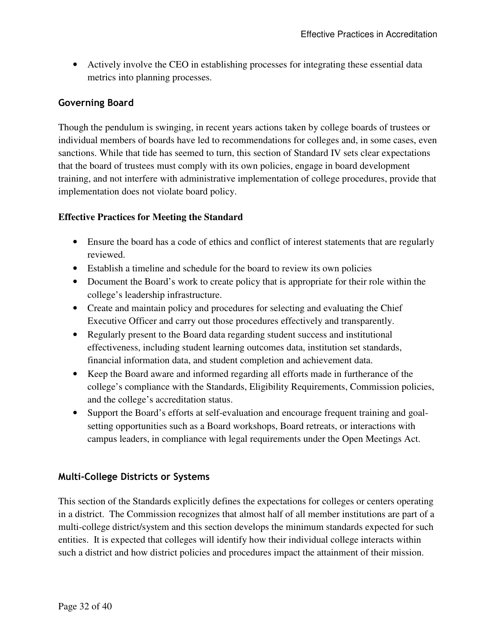• Actively involve the CEO in establishing processes for integrating these essential data metrics into planning processes.

### **Governing Board**

Though the pendulum is swinging, in recent years actions taken by college boards of trustees or individual members of boards have led to recommendations for colleges and, in some cases, even sanctions. While that tide has seemed to turn, this section of Standard IV sets clear expectations that the board of trustees must comply with its own policies, engage in board development training, and not interfere with administrative implementation of college procedures, provide that implementation does not violate board policy.

### **Effective Practices for Meeting the Standard**

- Ensure the board has a code of ethics and conflict of interest statements that are regularly reviewed.
- Establish a timeline and schedule for the board to review its own policies
- Document the Board's work to create policy that is appropriate for their role within the college's leadership infrastructure.
- Create and maintain policy and procedures for selecting and evaluating the Chief Executive Officer and carry out those procedures effectively and transparently.
- Regularly present to the Board data regarding student success and institutional effectiveness, including student learning outcomes data, institution set standards, financial information data, and student completion and achievement data.
- Keep the Board aware and informed regarding all efforts made in furtherance of the college's compliance with the Standards, Eligibility Requirements, Commission policies, and the college's accreditation status.
- Support the Board's efforts at self-evaluation and encourage frequent training and goalsetting opportunities such as a Board workshops, Board retreats, or interactions with campus leaders, in compliance with legal requirements under the Open Meetings Act.

### **Multi-College Districts or Systems**

This section of the Standards explicitly defines the expectations for colleges or centers operating in a district. The Commission recognizes that almost half of all member institutions are part of a multi-college district/system and this section develops the minimum standards expected for such entities. It is expected that colleges will identify how their individual college interacts within such a district and how district policies and procedures impact the attainment of their mission.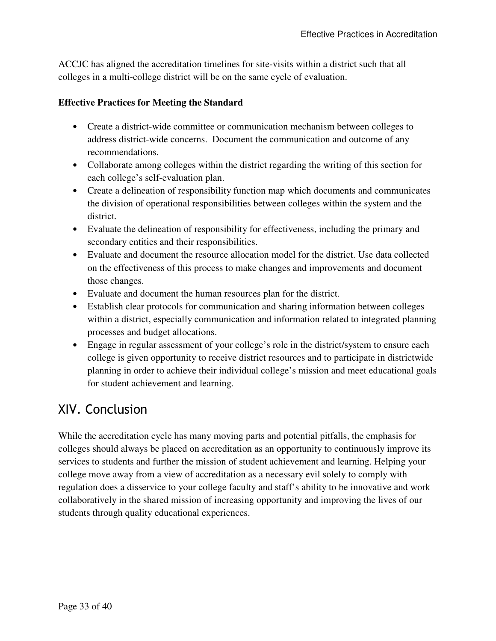ACCJC has aligned the accreditation timelines for site-visits within a district such that all colleges in a multi-college district will be on the same cycle of evaluation.

### **Effective Practices for Meeting the Standard**

- Create a district-wide committee or communication mechanism between colleges to address district-wide concerns. Document the communication and outcome of any recommendations.
- Collaborate among colleges within the district regarding the writing of this section for each college's self-evaluation plan.
- Create a delineation of responsibility function map which documents and communicates the division of operational responsibilities between colleges within the system and the district.
- Evaluate the delineation of responsibility for effectiveness, including the primary and secondary entities and their responsibilities.
- Evaluate and document the resource allocation model for the district. Use data collected on the effectiveness of this process to make changes and improvements and document those changes.
- Evaluate and document the human resources plan for the district.
- Establish clear protocols for communication and sharing information between colleges within a district, especially communication and information related to integrated planning processes and budget allocations.
- Engage in regular assessment of your college's role in the district/system to ensure each college is given opportunity to receive district resources and to participate in districtwide planning in order to achieve their individual college's mission and meet educational goals for student achievement and learning.

# XIV. Conclusion

While the accreditation cycle has many moving parts and potential pitfalls, the emphasis for colleges should always be placed on accreditation as an opportunity to continuously improve its services to students and further the mission of student achievement and learning. Helping your college move away from a view of accreditation as a necessary evil solely to comply with regulation does a disservice to your college faculty and staff's ability to be innovative and work collaboratively in the shared mission of increasing opportunity and improving the lives of our students through quality educational experiences.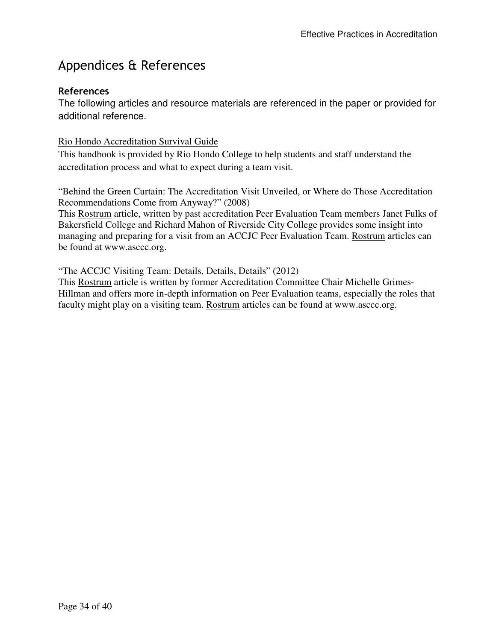# Appendices & References

### **References**

The following articles and resource materials are referenced in the paper or provided for additional reference.

### Rio Hondo Accreditation Survival Guide

This handbook is provided by Rio Hondo College to help students and staff understand the accreditation process and what to expect during a team visit.

"Behind the Green Curtain: The Accreditation Visit Unveiled, or Where do Those Accreditation Recommendations Come from Anyway?" (2008)

This Rostrum article, written by past accreditation Peer Evaluation Team members Janet Fulks of Bakersfield College and Richard Mahon of Riverside City College provides some insight into managing and preparing for a visit from an ACCJC Peer Evaluation Team. Rostrum articles can be found at www.asccc.org.

"The ACCJC Visiting Team: Details, Details, Details" (2012)

This Rostrum article is written by former Accreditation Committee Chair Michelle Grimes-Hillman and offers more in-depth information on Peer Evaluation teams, especially the roles that faculty might play on a visiting team. Rostrum articles can be found at www.asccc.org.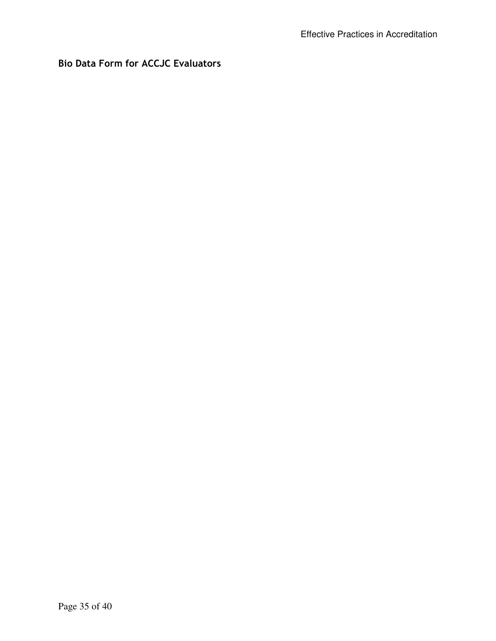### **Bio Data Form for ACCJC Evaluators**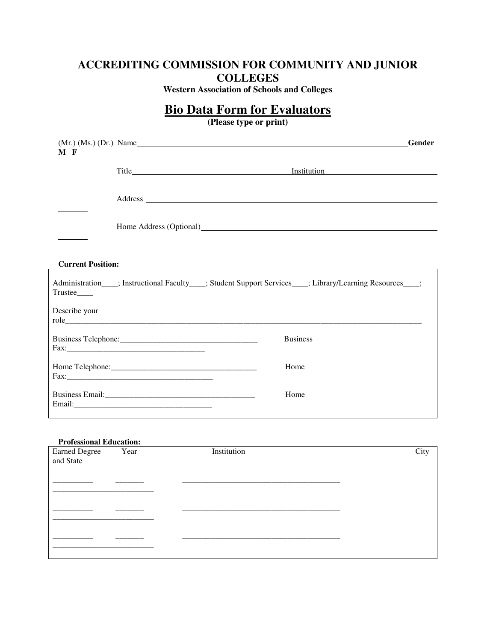### **ACCREDITING COMMISSION FOR COMMUNITY AND JUNIOR COLLEGES**

**Western Association of Schools and Colleges**

### **Bio Data Form for Evaluators**

**(Please type or print)** 

| M F                      | Gender<br>$(Mr.)$ $(Ms.)$ $(Dr.)$ $Name$                                                                    |
|--------------------------|-------------------------------------------------------------------------------------------------------------|
|                          | <b>Institution</b>                                                                                          |
|                          |                                                                                                             |
|                          |                                                                                                             |
| <b>Current Position:</b> |                                                                                                             |
| Trustee____              | Administration____; Instructional Faculty____; Student Support Services____; Library/Learning Resources___; |
| Describe your            |                                                                                                             |
|                          | <b>Business</b>                                                                                             |
|                          | Home                                                                                                        |
|                          | Home                                                                                                        |

#### **Professional Education:**

| Earned Degree<br>and State | Year | Institution | City |
|----------------------------|------|-------------|------|
|                            |      |             |      |
|                            |      |             |      |
|                            |      |             |      |
|                            |      |             |      |
|                            |      |             |      |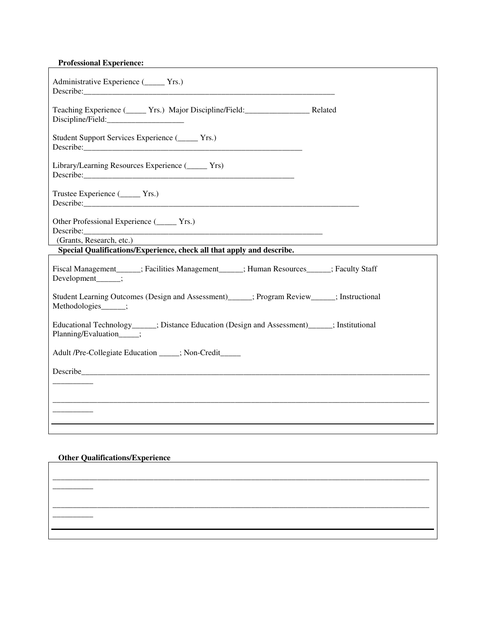#### **Professional Experience:**

| Administrative Experience (______ Yrs.)<br>Describe: <u>Constantino de la constantino de la constantino de la constantino de la constantino de la constantino de la constantino de la constantino de la constantino de la constantino de la constantino de la constantino d</u>       |  |
|---------------------------------------------------------------------------------------------------------------------------------------------------------------------------------------------------------------------------------------------------------------------------------------|--|
| Teaching Experience (Comparison, Major Discipline/Field: Related<br>Discipline/Field:                                                                                                                                                                                                 |  |
| Student Support Services Experience ( <u>Letter Yrs.</u> )                                                                                                                                                                                                                            |  |
| Library/Learning Resources Experience ( <u>Lessens</u> Yrs)                                                                                                                                                                                                                           |  |
| Trustee Experience (Campana Yrs.)                                                                                                                                                                                                                                                     |  |
| Other Professional Experience (________ Yrs.)<br>Describe: <u>and the contract of the contract of the contract of the contract of the contract of the contract of the contract of the contract of the contract of the contract of the contract of the contract of the contract of</u> |  |
| (Grants, Research, etc.)<br>Special Qualifications/Experience, check all that apply and describe.                                                                                                                                                                                     |  |
| Fiscal Management______; Facilities Management______; Human Resources______; Faculty Staff<br>Development_____;                                                                                                                                                                       |  |
| Student Learning Outcomes (Design and Assessment) ______; Program Review ______; Instructional<br>Methodologies____;                                                                                                                                                                  |  |
| Educational Technology ______; Distance Education (Design and Assessment) ______; Institutional<br>Planning/Evaluation____;                                                                                                                                                           |  |
| Adult /Pre-Collegiate Education ____; Non-Credit____                                                                                                                                                                                                                                  |  |
|                                                                                                                                                                                                                                                                                       |  |
|                                                                                                                                                                                                                                                                                       |  |
|                                                                                                                                                                                                                                                                                       |  |
|                                                                                                                                                                                                                                                                                       |  |
|                                                                                                                                                                                                                                                                                       |  |
|                                                                                                                                                                                                                                                                                       |  |

\_\_\_\_\_\_\_\_\_\_\_\_\_\_\_\_\_\_\_\_\_\_\_\_\_\_\_\_\_\_\_\_\_\_\_\_\_\_\_\_\_\_\_\_\_\_\_\_\_\_\_\_\_\_\_\_\_\_\_\_\_\_\_\_\_\_\_\_\_\_\_\_\_\_\_\_\_\_\_\_\_\_\_\_\_\_\_\_\_\_\_\_\_

\_\_\_\_\_\_\_\_\_\_\_\_\_\_\_\_\_\_\_\_\_\_\_\_\_\_\_\_\_\_\_\_\_\_\_\_\_\_\_\_\_\_\_\_\_\_\_\_\_\_\_\_\_\_\_\_\_\_\_\_\_\_\_\_\_\_\_\_\_\_\_\_\_\_\_\_\_\_\_\_\_\_\_\_\_\_\_\_\_\_\_\_\_

#### **Other Qualifications/Experience**

\_\_\_\_\_\_\_\_\_\_

\_\_\_\_\_\_\_\_\_\_